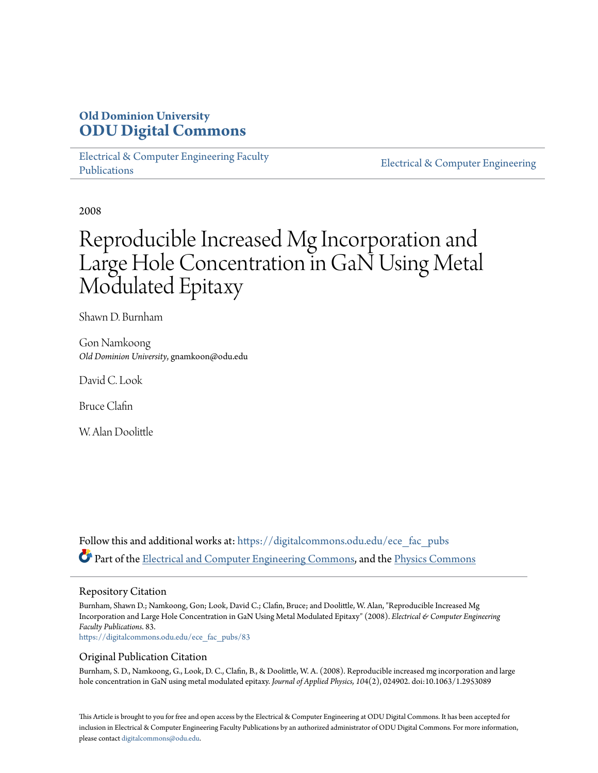## **Old Dominion University [ODU Digital Commons](https://digitalcommons.odu.edu?utm_source=digitalcommons.odu.edu%2Fece_fac_pubs%2F83&utm_medium=PDF&utm_campaign=PDFCoverPages)**

[Electrical & Computer Engineering Faculty](https://digitalcommons.odu.edu/ece_fac_pubs?utm_source=digitalcommons.odu.edu%2Fece_fac_pubs%2F83&utm_medium=PDF&utm_campaign=PDFCoverPages) [Publications](https://digitalcommons.odu.edu/ece_fac_pubs?utm_source=digitalcommons.odu.edu%2Fece_fac_pubs%2F83&utm_medium=PDF&utm_campaign=PDFCoverPages)

[Electrical & Computer Engineering](https://digitalcommons.odu.edu/ece?utm_source=digitalcommons.odu.edu%2Fece_fac_pubs%2F83&utm_medium=PDF&utm_campaign=PDFCoverPages)

2008

# Reproducible Increased Mg Incorporation and Large Hole Concentration in GaN Using Metal Modulated Epitaxy

Shawn D. Burnham

Gon Namkoong *Old Dominion University*, gnamkoon@odu.edu

David C. Look

Bruce Clafin

W. Alan Doolittle

Follow this and additional works at: [https://digitalcommons.odu.edu/ece\\_fac\\_pubs](https://digitalcommons.odu.edu/ece_fac_pubs?utm_source=digitalcommons.odu.edu%2Fece_fac_pubs%2F83&utm_medium=PDF&utm_campaign=PDFCoverPages) Part of the [Electrical and Computer Engineering Commons](http://network.bepress.com/hgg/discipline/266?utm_source=digitalcommons.odu.edu%2Fece_fac_pubs%2F83&utm_medium=PDF&utm_campaign=PDFCoverPages), and the [Physics Commons](http://network.bepress.com/hgg/discipline/193?utm_source=digitalcommons.odu.edu%2Fece_fac_pubs%2F83&utm_medium=PDF&utm_campaign=PDFCoverPages)

### Repository Citation

Burnham, Shawn D.; Namkoong, Gon; Look, David C.; Clafin, Bruce; and Doolittle, W. Alan, "Reproducible Increased Mg Incorporation and Large Hole Concentration in GaN Using Metal Modulated Epitaxy" (2008). *Electrical & Computer Engineering Faculty Publications*. 83.

[https://digitalcommons.odu.edu/ece\\_fac\\_pubs/83](https://digitalcommons.odu.edu/ece_fac_pubs/83?utm_source=digitalcommons.odu.edu%2Fece_fac_pubs%2F83&utm_medium=PDF&utm_campaign=PDFCoverPages)

### Original Publication Citation

Burnham, S. D., Namkoong, G., Look, D. C., Clafin, B., & Doolittle, W. A. (2008). Reproducible increased mg incorporation and large hole concentration in GaN using metal modulated epitaxy. *Journal of Applied Physics, 10*4(2), 024902. doi:10.1063/1.2953089

This Article is brought to you for free and open access by the Electrical & Computer Engineering at ODU Digital Commons. It has been accepted for inclusion in Electrical & Computer Engineering Faculty Publications by an authorized administrator of ODU Digital Commons. For more information, please contact [digitalcommons@odu.edu](mailto:digitalcommons@odu.edu).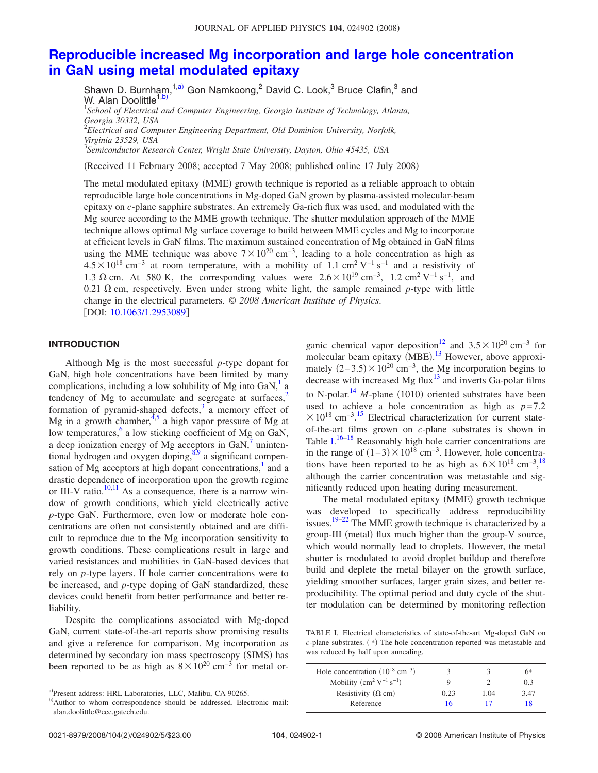### **[Reproducible increased Mg incorporation and large hole concentration](http://dx.doi.org/10.1063/1.2953089) [in GaN using metal modulated epitaxy](http://dx.doi.org/10.1063/1.2953089)**

Shawn D. Burnham,<sup>1[,a](#page-1-0))</sup> Gon Namkoong,<sup>2</sup> David C. Look,<sup>3</sup> Bruce Clafin,<sup>3</sup> and W. Alan Doolittle<sup>1[,b](#page-1-1))</sup> 1 *School of Electrical and Computer Engineering, Georgia Institute of Technology, Atlanta, Georgia 30332, USA* 2 *Electrical and Computer Engineering Department, Old Dominion University, Norfolk, Virginia 23529, USA* 3 *Semiconductor Research Center, Wright State University, Dayton, Ohio 45435, USA*

(Received 11 February 2008; accepted 7 May 2008; published online 17 July 2008)

The metal modulated epitaxy (MME) growth technique is reported as a reliable approach to obtain reproducible large hole concentrations in Mg-doped GaN grown by plasma-assisted molecular-beam epitaxy on *c*-plane sapphire substrates. An extremely Ga-rich flux was used, and modulated with the Mg source according to the MME growth technique. The shutter modulation approach of the MME technique allows optimal Mg surface coverage to build between MME cycles and Mg to incorporate at efficient levels in GaN films. The maximum sustained concentration of Mg obtained in GaN films using the MME technique was above  $7\times10^{20}$  cm<sup>-3</sup>, leading to a hole concentration as high as  $4.5\times10^{18}$  cm<sup>-3</sup> at room temperature, with a mobility of 1.1 cm<sup>2</sup> V<sup>-1</sup> s<sup>-1</sup> and a resistivity of 1.3  $\Omega$  cm. At 580 K, the corresponding values were  $2.6 \times 10^{19}$  cm<sup>-3</sup>, 1.2 cm<sup>2</sup> V<sup>-1</sup> s<sup>-1</sup>, and 0.21  $\Omega$  cm, respectively. Even under strong white light, the sample remained p-type with little change in the electrical parameters. © *2008 American Institute of Physics*. [DOI: [10.1063/1.2953089](http://dx.doi.org/10.1063/1.2953089)]

### **INTRODUCTION**

Although Mg is the most successful *p*-type dopant for GaN, high hole concentrations have been limited by many complications, including a low solubility of Mg into  $GaN$ ,<sup>1</sup> a tendency of Mg to accumulate and segregate at surfaces, $2\pi$ formation of pyramid-shaped defects, $\frac{3}{3}$  a memory effect of Mg in a growth chamber,  $4.5$  a high vapor pressure of Mg at low temperatures,<sup>6</sup> a low sticking coefficient of Mg on GaN, a deep ionization energy of Mg acceptors in GaN, $\overline{7}$  unintentional hydrogen and oxygen doping, $8,9$  $8,9$  a significant compensation of Mg acceptors at high dopant concentrations, $<sup>1</sup>$  and a</sup> drastic dependence of incorporation upon the growth regime or III-V ratio. $10,11$  $10,11$  As a consequence, there is a narrow window of growth conditions, which yield electrically active *p*-type GaN. Furthermore, even low or moderate hole concentrations are often not consistently obtained and are difficult to reproduce due to the Mg incorporation sensitivity to growth conditions. These complications result in large and varied resistances and mobilities in GaN-based devices that rely on *p*-type layers. If hole carrier concentrations were to be increased, and *p*-type doping of GaN standardized, these devices could benefit from better performance and better reliability.

Despite the complications associated with Mg-doped GaN, current state-of-the-art reports show promising results and give a reference for comparison. Mg incorporation as determined by secondary ion mass spectroscopy (SIMS) has been reported to be as high as  $8 \times 10^{20}$  cm<sup>-3</sup> for metal or-

ganic chemical vapor deposition<sup>12</sup> and  $3.5\times10^{20}$  cm<sup>-3</sup> for molecular beam epitaxy (MBE).<sup>[13](#page-4-12)</sup> However, above approximately  $(2-3.5) \times 10^{20}$  cm<sup>-3</sup>, the Mg incorporation begins to decrease with increased Mg flux $13$  and inverts Ga-polar films to N-polar.<sup>14</sup> *M*-plane ( $10\overline{1}0$ ) oriented substrates have been used to achieve a hole concentration as high as  $p=7.2$  $\times$  10<sup>18</sup> cm<sup>-3</sup>.<sup>[15](#page-4-14)</sup> Electrical characterization for current stateof-the-art films grown on *c*-plane substrates is shown in Table  $I^{16-18}$  $I^{16-18}$  $I^{16-18}$  Reasonably high hole carrier concentrations are in the range of  $(1-3) \times 10^{18}$  cm<sup>-3</sup>. However, hole concentrations have been reported to be as high as  $6 \times 10^{18}$  $6 \times 10^{18}$  $6 \times 10^{18}$  cm<sup>-3,18</sup> although the carrier concentration was metastable and significantly reduced upon heating during measurement.

The metal modulated epitaxy (MME) growth technique was developed to specifically address reproducibility issues.<sup>19[–22](#page-5-3)</sup> The MME growth technique is characterized by a group-III (metal) flux much higher than the group-V source, which would normally lead to droplets. However, the metal shutter is modulated to avoid droplet buildup and therefore build and deplete the metal bilayer on the growth surface, yielding smoother surfaces, larger grain sizes, and better reproducibility. The optimal period and duty cycle of the shutter modulation can be determined by monitoring reflection

<span id="page-1-2"></span>TABLE I. Electrical characteristics of state-of-the-art Mg-doped GaN on  $c$ -plane substrates.  $(*)$  The hole concentration reported was metastable and was reduced by half upon annealing.

| Hole concentration $(10^{18} \text{ cm}^{-3})$ |      |      | 6*   |
|------------------------------------------------|------|------|------|
| Mobility $(cm^2 V^{-1} s^{-1})$                | 9    |      | 0.3  |
| Resistivity ( $\Omega$ cm)                     | 0.23 | 1.04 | 3.47 |
| Reference                                      | 16   |      | 18   |

<span id="page-1-0"></span>a)Present address: HRL Laboratories, LLC, Malibu, CA 90265.

<span id="page-1-1"></span>b)Author to whom correspondence should be addressed. Electronic mail: alan.doolittle@ece.gatech.edu.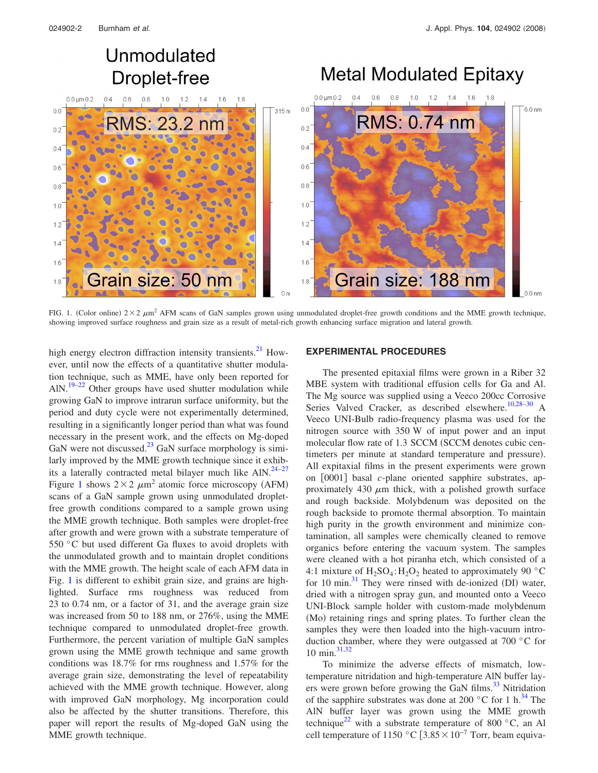## Unmodulated **Droplet-free**

# **Metal Modulated Epitaxy**

<span id="page-2-0"></span>

FIG. 1. (Color online)  $2 \times 2 \mu m^2$  AFM scans of GaN samples grown using unmodulated droplet-free growth conditions and the MME growth technique, showing improved surface roughness and grain size as a result of metal-rich growth enhancing surface migration and lateral growth.

high energy electron diffraction intensity transients.<sup>21</sup> However, until now the effects of a quantitative shutter modulation technique, such as MME, have only been reported for AlN.<sup>19–[22](#page-5-3)</sup> Other groups have used shutter modulation while growing GaN to improve intrarun surface uniformity, but the period and duty cycle were not experimentally determined, resulting in a significantly longer period than what was found necessary in the present work, and the effects on Mg-doped GaN were not discussed.<sup>23</sup> GaN surface morphology is similarly improved by the MME growth technique since it exhibits a laterally contracted metal bilayer much like  $AlN$ .<sup>24–[27](#page-5-8)</sup> Figure [1](#page-2-0) shows  $2 \times 2 \mu m^2$  atomic force microscopy (AFM) scans of a GaN sample grown using unmodulated dropletfree growth conditions compared to a sample grown using the MME growth technique. Both samples were droplet-free after growth and were grown with a substrate temperature of 550 °C but used different Ga fluxes to avoid droplets with the unmodulated growth and to maintain droplet conditions with the MME growth. The height scale of each AFM data in Fig. [1](#page-2-0) is different to exhibit grain size, and grains are highlighted. Surface rms roughness was reduced from 23 to 0.74 nm, or a factor of 31, and the average grain size was increased from 50 to 188 nm, or 276%, using the MME technique compared to unmodulated droplet-free growth. Furthermore, the percent variation of multiple GaN samples grown using the MME growth technique and same growth conditions was 18.7% for rms roughness and 1.57% for the average grain size, demonstrating the level of repeatability achieved with the MME growth technique. However, along with improved GaN morphology, Mg incorporation could also be affected by the shutter transitions. Therefore, this paper will report the results of Mg-doped GaN using the MME growth technique.

### **EXPERIMENTAL PROCEDURES**

The presented epitaxial films were grown in a Riber 32 MBE system with traditional effusion cells for Ga and Al. The Mg source was supplied using a Veeco 200cc Corrosive Series Valved Cracker, as described elsewhere.<sup>10[,28](#page-5-9)-30</sup> A Veeco UNI-Bulb radio-frequency plasma was used for the nitrogen source with 350 W of input power and an input molecular flow rate of 1.3 SCCM (SCCM denotes cubic centimeters per minute at standard temperature and pressure). All expitaxial films in the present experiments were grown on [0001] basal *c*-plane oriented sapphire substrates, approximately 430  $\mu$ m thick, with a polished growth surface and rough backside. Molybdenum was deposited on the rough backside to promote thermal absorption. To maintain high purity in the growth environment and minimize contamination, all samples were chemically cleaned to remove organics before entering the vacuum system. The samples were cleaned with a hot piranha etch, which consisted of a 4:1 mixture of  $H_2SO_4$ :  $H_2O_2$  heated to approximately 90 °C for 10 min. $31$  They were rinsed with de-ionized (DI) water, dried with a nitrogen spray gun, and mounted onto a Veeco UNI-Block sample holder with custom-made molybdenum (Mo) retaining rings and spring plates. To further clean the samples they were then loaded into the high-vacuum introduction chamber, where they were outgassed at 700 °C for  $10 \text{ min.}^{31,32}$  $10 \text{ min.}^{31,32}$  $10 \text{ min.}^{31,32}$ 

To minimize the adverse effects of mismatch, lowtemperature nitridation and high-temperature AlN buffer layers were grown before growing the GaN films.<sup>33</sup> Nitridation of the sapphire substrates was done at 200  $^{\circ}$ C for 1 h.<sup>34</sup> The AlN buffer layer was grown using the MME growth technique<sup>22</sup> with a substrate temperature of 800  $^{\circ}$ C, an Al cell temperature of 1150 °C  $[3.85\times10^{-7}$  Torr, beam equiva-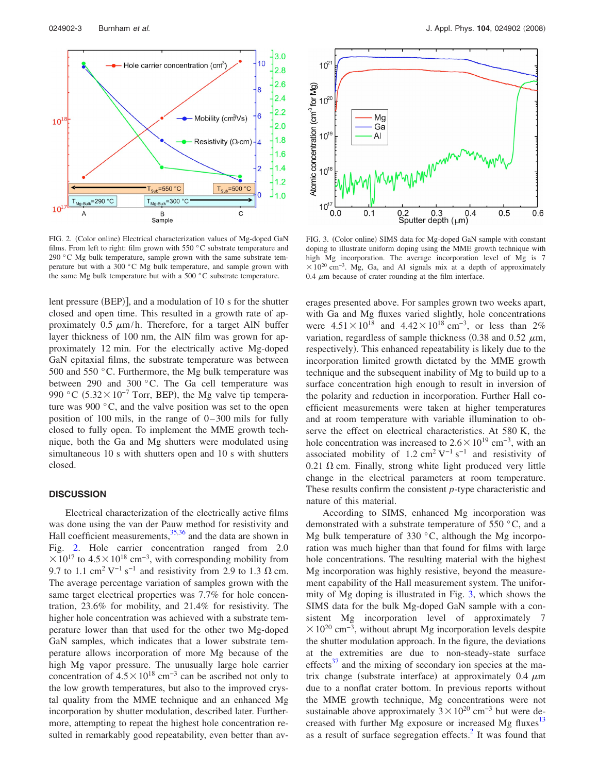<span id="page-3-0"></span>

FIG. 2. (Color online) Electrical characterization values of Mg-doped GaN films. From left to right: film grown with 550 °C substrate temperature and 290 °C Mg bulk temperature, sample grown with the same substrate temperature but with a 300 °C Mg bulk temperature, and sample grown with the same Mg bulk temperature but with a 500 °C substrate temperature.

lent pressure (BEP)], and a modulation of 10 s for the shutter closed and open time. This resulted in a growth rate of approximately 0.5  $\mu$ m/h. Therefore, for a target AlN buffer layer thickness of 100 nm, the AlN film was grown for approximately 12 min. For the electrically active Mg-doped GaN epitaxial films, the substrate temperature was between 500 and 550 °C. Furthermore, the Mg bulk temperature was between 290 and 300 °C. The Ga cell temperature was 990 °C  $(5.32 \times 10^{-7}$  Torr, BEP), the Mg valve tip temperature was 900 °C, and the valve position was set to the open position of 100 mils, in the range of  $0-300$  mils for fully closed to fully open. To implement the MME growth technique, both the Ga and Mg shutters were modulated using simultaneous 10 s with shutters open and 10 s with shutters closed.

### **DISCUSSION**

Electrical characterization of the electrically active films was done using the van der Pauw method for resistivity and Hall coefficient measurements,  $35,36$  $35,36$  and the data are shown in Fig. [2.](#page-3-0) Hole carrier concentration ranged from 2.0  $\times 10^{17}$  to 4.5  $\times 10^{18}$  cm<sup>-3</sup>, with corresponding mobility from 9.7 to 1.1 cm<sup>2</sup> V<sup>-1</sup> s<sup>-1</sup> and resistivity from 2.9 to 1.3  $\Omega$  cm. The average percentage variation of samples grown with the same target electrical properties was 7.7% for hole concentration, 23.6% for mobility, and 21.4% for resistivity. The higher hole concentration was achieved with a substrate temperature lower than that used for the other two Mg-doped GaN samples, which indicates that a lower substrate temperature allows incorporation of more Mg because of the high Mg vapor pressure. The unusually large hole carrier concentration of  $4.5\times10^{18}$  cm<sup>-3</sup> can be ascribed not only to the low growth temperatures, but also to the improved crystal quality from the MME technique and an enhanced Mg incorporation by shutter modulation, described later. Furthermore, attempting to repeat the highest hole concentration resulted in remarkably good repeatability, even better than av-

<span id="page-3-1"></span>

FIG. 3. (Color online) SIMS data for Mg-doped GaN sample with constant doping to illustrate uniform doping using the MME growth technique with high Mg incorporation. The average incorporation level of Mg is 7  $\times$ 10<sup>20</sup> cm<sup>-3</sup>. Mg, Ga, and Al signals mix at a depth of approximately 0.4  $\mu$ m because of crater rounding at the film interface.

erages presented above. For samples grown two weeks apart, with Ga and Mg fluxes varied slightly, hole concentrations were  $4.51 \times 10^{18}$  and  $4.42 \times 10^{18}$  cm<sup>-3</sup>, or less than 2% variation, regardless of sample thickness (0.38 and 0.52  $\mu$ m, respectively). This enhanced repeatability is likely due to the incorporation limited growth dictated by the MME growth technique and the subsequent inability of Mg to build up to a surface concentration high enough to result in inversion of the polarity and reduction in incorporation. Further Hall coefficient measurements were taken at higher temperatures and at room temperature with variable illumination to observe the effect on electrical characteristics. At 580 K, the hole concentration was increased to  $2.6\times10^{19}$  cm<sup>-3</sup>, with an associated mobility of 1.2 cm<sup>2</sup> V<sup>-1</sup> s<sup>-1</sup> and resistivity of  $0.21 \Omega$  cm. Finally, strong white light produced very little change in the electrical parameters at room temperature. These results confirm the consistent *p*-type characteristic and nature of this material.

According to SIMS, enhanced Mg incorporation was demonstrated with a substrate temperature of 550 °C, and a Mg bulk temperature of 330 °C, although the Mg incorporation was much higher than that found for films with large hole concentrations. The resulting material with the highest Mg incorporation was highly resistive, beyond the measurement capability of the Hall measurement system. The uniformity of Mg doping is illustrated in Fig. [3,](#page-3-1) which shows the SIMS data for the bulk Mg-doped GaN sample with a consistent Mg incorporation level of approximately 7  $\times$  10<sup>20</sup> cm<sup>-3</sup>, without abrupt Mg incorporation levels despite the shutter modulation approach. In the figure, the deviations at the extremities are due to non-steady-state surface effects $37$  and the mixing of secondary ion species at the matrix change (substrate interface) at approximately  $0.4 \mu m$ due to a nonflat crater bottom. In previous reports without the MME growth technique, Mg concentrations were not sustainable above approximately  $3 \times 10^{20}$  cm<sup>-3</sup> but were decreased with further Mg exposure or increased Mg fluxes $13$ as a result of surface segregation effects.<sup>2</sup> It was found that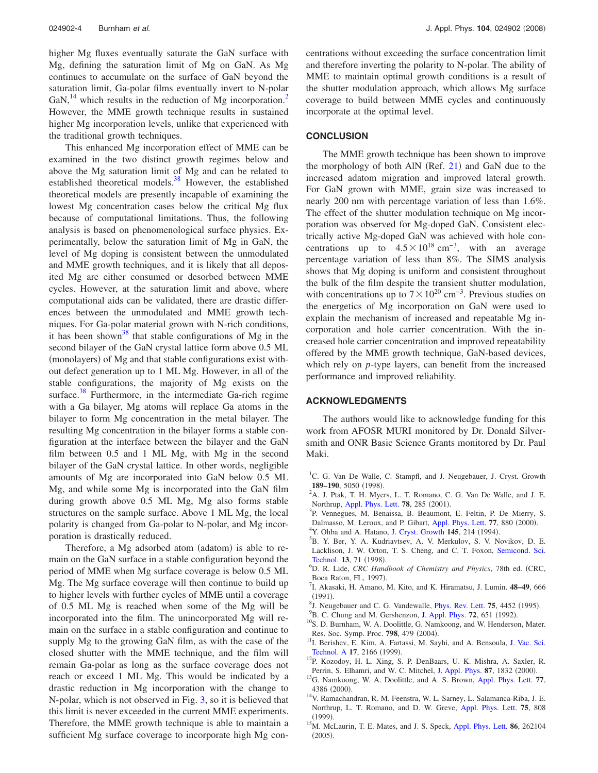higher Mg fluxes eventually saturate the GaN surface with Mg, defining the saturation limit of Mg on GaN. As Mg continues to accumulate on the surface of GaN beyond the saturation limit, Ga-polar films eventually invert to N-polar GaN, $^{14}$  which results in the reduction of Mg incorporation.<sup>2</sup> However, the MME growth technique results in sustained higher Mg incorporation levels, unlike that experienced with the traditional growth techniques.

This enhanced Mg incorporation effect of MME can be examined in the two distinct growth regimes below and above the Mg saturation limit of Mg and can be related to established theoretical models.<sup>38</sup> However, the established theoretical models are presently incapable of examining the lowest Mg concentration cases below the critical Mg flux because of computational limitations. Thus, the following analysis is based on phenomenological surface physics. Experimentally, below the saturation limit of Mg in GaN, the level of Mg doping is consistent between the unmodulated and MME growth techniques, and it is likely that all deposited Mg are either consumed or desorbed between MME cycles. However, at the saturation limit and above, where computational aids can be validated, there are drastic differences between the unmodulated and MME growth techniques. For Ga-polar material grown with N-rich conditions, it has been shown<sup>38</sup> that stable configurations of Mg in the second bilayer of the GaN crystal lattice form above 0.5 ML (monolayers) of Mg and that stable configurations exist without defect generation up to 1 ML Mg. However, in all of the stable configurations, the majority of Mg exists on the surface. $38$  Furthermore, in the intermediate Ga-rich regime with a Ga bilayer, Mg atoms will replace Ga atoms in the bilayer to form Mg concentration in the metal bilayer. The resulting Mg concentration in the bilayer forms a stable configuration at the interface between the bilayer and the GaN film between 0.5 and 1 ML Mg, with Mg in the second bilayer of the GaN crystal lattice. In other words, negligible amounts of Mg are incorporated into GaN below 0.5 ML Mg, and while some Mg is incorporated into the GaN film during growth above 0.5 ML Mg, Mg also forms stable structures on the sample surface. Above 1 ML Mg, the local polarity is changed from Ga-polar to N-polar, and Mg incorporation is drastically reduced.

Therefore, a Mg adsorbed atom (adatom) is able to remain on the GaN surface in a stable configuration beyond the period of MME when Mg surface coverage is below 0.5 ML Mg. The Mg surface coverage will then continue to build up to higher levels with further cycles of MME until a coverage of 0.5 ML Mg is reached when some of the Mg will be incorporated into the film. The unincorporated Mg will remain on the surface in a stable configuration and continue to supply Mg to the growing GaN film, as with the case of the closed shutter with the MME technique, and the film will remain Ga-polar as long as the surface coverage does not reach or exceed 1 ML Mg. This would be indicated by a drastic reduction in Mg incorporation with the change to N-polar, which is not observed in Fig. [3,](#page-3-1) so it is believed that this limit is never exceeded in the current MME experiments. Therefore, the MME growth technique is able to maintain a sufficient Mg surface coverage to incorporate high Mg concentrations without exceeding the surface concentration limit and therefore inverting the polarity to N-polar. The ability of MME to maintain optimal growth conditions is a result of the shutter modulation approach, which allows Mg surface coverage to build between MME cycles and continuously incorporate at the optimal level.

### **CONCLUSION**

The MME growth technique has been shown to improve the morphology of both AlN (Ref. [21](#page-5-5)) and GaN due to the increased adatom migration and improved lateral growth. For GaN grown with MME, grain size was increased to nearly 200 nm with percentage variation of less than 1.6%. The effect of the shutter modulation technique on Mg incorporation was observed for Mg-doped GaN. Consistent electrically active Mg-doped GaN was achieved with hole concentrations up to  $4.5\times10^{18}$  cm<sup>-3</sup>, with an average percentage variation of less than 8%. The SIMS analysis shows that Mg doping is uniform and consistent throughout the bulk of the film despite the transient shutter modulation, with concentrations up to  $7 \times 10^{20}$  cm<sup>-3</sup>. Previous studies on the energetics of Mg incorporation on GaN were used to explain the mechanism of increased and repeatable Mg incorporation and hole carrier concentration. With the increased hole carrier concentration and improved repeatability offered by the MME growth technique, GaN-based devices, which rely on *p*-type layers, can benefit from the increased performance and improved reliability.

#### **ACKNOWLEDGMENTS**

The authors would like to acknowledge funding for this work from AFOSR MURI monitored by Dr. Donald Silversmith and ONR Basic Science Grants monitored by Dr. Paul Maki.

- <span id="page-4-0"></span><sup>1</sup>C. G. Van De Walle, C. Stampfl, and J. Neugebauer, J. Cryst. Growth **189–190**, 5050 (1998).
- <span id="page-4-1"></span> $A^2$ A. J. Ptak, T. H. Myers, L. T. Romano, C. G. Van De Walle, and J. E. Northrup, [Appl. Phys. Lett.](http://dx.doi.org/10.1063/1.1339255) **78**, 285 (2001).
- <span id="page-4-2"></span><sup>3</sup>P. Vennegues, M. Benaissa, B. Beaumont, E. Feltin, P. De Mierry, S. Dalmasso, M. Leroux, and P. Gibart, [Appl. Phys. Lett.](http://dx.doi.org/10.1063/1.1306421) **77**, 880 (2000).
- <span id="page-4-3"></span><sup>4</sup>Y. Ohba and A. Hatano, [J. Cryst. Growth](http://dx.doi.org/10.1016/0022-0248(94)91053-7) **145**, 214 (1994).
- <span id="page-4-4"></span><sup>5</sup>B. Y. Ber, Y. A. Kudriavtsev, A. V. Merkulov, S. V. Novikov, D. E. Lacklison, J. W. Orton, T. S. Cheng, and C. T. Foxon, [Semicond. Sci.](http://dx.doi.org/10.1088/0268-1242/13/1/010) **[Technol.](http://dx.doi.org/10.1088/0268-1242/13/1/010) 13**, 71 (1998).
- <span id="page-4-5"></span>D. R. Lide, *CRC Handbook of Chemistry and Physics*, 78th ed. CRC, Boca Raton, FL, 1997).
- <span id="page-4-6"></span>I. Akasaki, H. Amano, M. Kito, and K. Hiramatsu, J. Lumin. **48–49**, 666  $^{(1991)}_{81\text{ Nous}}$
- <span id="page-4-7"></span> $^{8}$ J. Neugebauer and C. G. Vandewalle, *[Phys. Rev. Lett.](http://dx.doi.org/10.1103/PhysRevLett.75.4452)* **75**, 4452 (1995).
- <span id="page-4-8"></span><sup>9</sup>B. C. Chung and M. Gershenzon, [J. Appl. Phys.](http://dx.doi.org/10.1063/1.351848) 72, 651 (1992).
- <span id="page-4-9"></span><sup>10</sup>S. D. Burnham, W. A. Doolittle, G. Namkoong, and W. Henderson, Mater. Res. Soc. Symp. Proc. **798**, 479 (2004).
- <span id="page-4-10"></span><sup>11</sup>I. Berishev, E. Kim, A. Fartassi, M. Sayhi, and A. Bensoula, [J. Vac. Sci.](http://dx.doi.org/10.1116/1.581744) [Technol. A](http://dx.doi.org/10.1116/1.581744) 17, 2166 (1999).
- <span id="page-4-11"></span><sup>12</sup>P. Kozodoy, H. L. Xing, S. P. DenBaars, U. K. Mishra, A. Saxler, R. Perrin, S. Elhamri, and W. C. Mitchel, [J. Appl. Phys.](http://dx.doi.org/10.1063/1.372098) 87, 1832 (2000).
- <span id="page-4-12"></span>. 13G. Namkoong, W. A. Doolittle, and A. S. Brown, [Appl. Phys. Lett.](http://dx.doi.org/10.1063/1.1334942) **<sup>77</sup>**, 4386 (2000).
- <span id="page-4-13"></span><sup>14</sup>V. Ramachandran, R. M. Feenstra, W. L. Sarney, L. Salamanca-Riba, J. E. Northrup, L. T. Romano, and D. W. Greve, [Appl. Phys. Lett.](http://dx.doi.org/10.1063/1.124520) **75**, 808  $(1999)$
- <span id="page-4-14"></span><sup>15</sup>M. McLaurin, T. E. Mates, and J. S. Speck, [Appl. Phys. Lett.](http://dx.doi.org/10.1063/1.1977204) **86**, 262104  $(2005).$